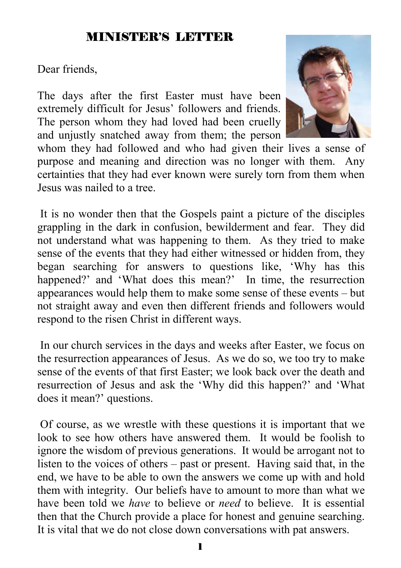#### MINISTER'S LETTER

Dear friends,

The days after the first Easter must have been extremely difficult for Jesus' followers and friends. The person whom they had loved had been cruelly and unjustly snatched away from them; the person



whom they had followed and who had given their lives a sense of purpose and meaning and direction was no longer with them. Any certainties that they had ever known were surely torn from them when Jesus was nailed to a tree.

 It is no wonder then that the Gospels paint a picture of the disciples grappling in the dark in confusion, bewilderment and fear. They did not understand what was happening to them. As they tried to make sense of the events that they had either witnessed or hidden from, they began searching for answers to questions like, 'Why has this happened?' and 'What does this mean?' In time, the resurrection appearances would help them to make some sense of these events – but not straight away and even then different friends and followers would respond to the risen Christ in different ways.

 In our church services in the days and weeks after Easter, we focus on the resurrection appearances of Jesus. As we do so, we too try to make sense of the events of that first Easter; we look back over the death and resurrection of Jesus and ask the 'Why did this happen?' and 'What does it mean?' questions.

 Of course, as we wrestle with these questions it is important that we look to see how others have answered them. It would be foolish to ignore the wisdom of previous generations. It would be arrogant not to listen to the voices of others – past or present. Having said that, in the end, we have to be able to own the answers we come up with and hold them with integrity. Our beliefs have to amount to more than what we have been told we *have* to believe or *need* to believe. It is essential then that the Church provide a place for honest and genuine searching. It is vital that we do not close down conversations with pat answers.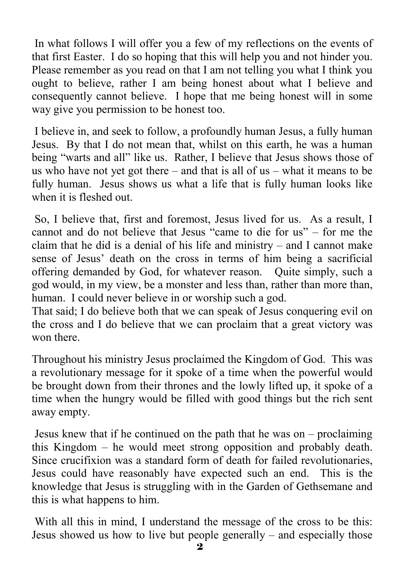In what follows I will offer you a few of my reflections on the events of that first Easter. I do so hoping that this will help you and not hinder you. Please remember as you read on that I am not telling you what I think you ought to believe, rather I am being honest about what I believe and consequently cannot believe. I hope that me being honest will in some way give you permission to be honest too.

 I believe in, and seek to follow, a profoundly human Jesus, a fully human Jesus. By that I do not mean that, whilst on this earth, he was a human being "warts and all" like us. Rather, I believe that Jesus shows those of us who have not yet got there – and that is all of us – what it means to be fully human. Jesus shows us what a life that is fully human looks like when it is fleshed out.

 So, I believe that, first and foremost, Jesus lived for us. As a result, I cannot and do not believe that Jesus "came to die for us" – for me the claim that he did is a denial of his life and ministry – and I cannot make sense of Jesus' death on the cross in terms of him being a sacrificial offering demanded by God, for whatever reason. Quite simply, such a god would, in my view, be a monster and less than, rather than more than, human. I could never believe in or worship such a god.

That said; I do believe both that we can speak of Jesus conquering evil on the cross and I do believe that we can proclaim that a great victory was won there.

Throughout his ministry Jesus proclaimed the Kingdom of God. This was a revolutionary message for it spoke of a time when the powerful would be brought down from their thrones and the lowly lifted up, it spoke of a time when the hungry would be filled with good things but the rich sent away empty.

 Jesus knew that if he continued on the path that he was on – proclaiming this Kingdom – he would meet strong opposition and probably death. Since crucifixion was a standard form of death for failed revolutionaries, Jesus could have reasonably have expected such an end. This is the knowledge that Jesus is struggling with in the Garden of Gethsemane and this is what happens to him.

With all this in mind, I understand the message of the cross to be this: Jesus showed us how to live but people generally – and especially those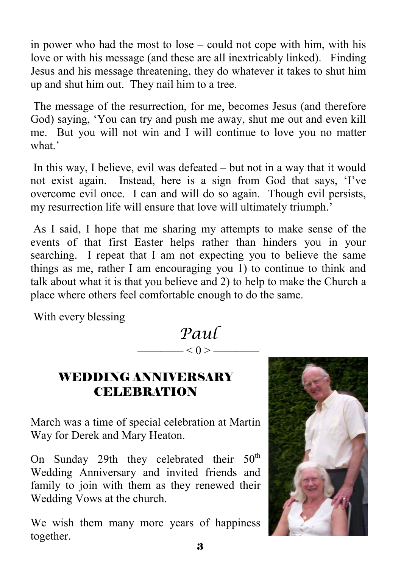in power who had the most to lose – could not cope with him, with his love or with his message (and these are all inextricably linked). Finding Jesus and his message threatening, they do whatever it takes to shut him up and shut him out. They nail him to a tree.

 The message of the resurrection, for me, becomes Jesus (and therefore God) saying, 'You can try and push me away, shut me out and even kill me. But you will not win and I will continue to love you no matter what<sup>?</sup>

 In this way, I believe, evil was defeated – but not in a way that it would not exist again. Instead, here is a sign from God that says, 'I've overcome evil once. I can and will do so again. Though evil persists, my resurrection life will ensure that love will ultimately triumph.'

 As I said, I hope that me sharing my attempts to make sense of the events of that first Easter helps rather than hinders you in your searching. I repeat that I am not expecting you to believe the same things as me, rather I am encouraging you 1) to continue to think and talk about what it is that you believe and 2) to help to make the Church a place where others feel comfortable enough to do the same.

With every blessing

*Paul* 

 $\longrightarrow$  < 0 >  $\longrightarrow$ 

#### WEDDING ANNIVERSARY **CELEBRATION**

March was a time of special celebration at Martin Way for Derek and Mary Heaton.

On Sunday 29th they celebrated their  $50<sup>th</sup>$ Wedding Anniversary and invited friends and family to join with them as they renewed their Wedding Vows at the church.

We wish them many more years of happiness together.

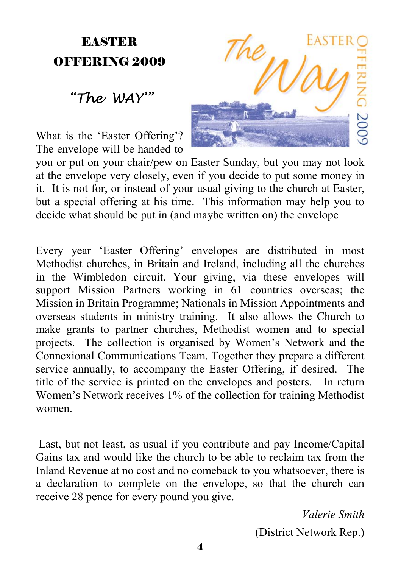# **EASTER** OFFERING 2009

# *"The WAY'"*

What is the 'Easter Offering'? The envelope will be handed to

you or put on your chair/pew on Easter Sunday, but you may not look at the envelope very closely, even if you decide to put some money in it. It is not for, or instead of your usual giving to the church at Easter, but a special offering at his time. This information may help you to decide what should be put in (and maybe written on) the envelope

Every year 'Easter Offering' envelopes are distributed in most Methodist churches, in Britain and Ireland, including all the churches in the Wimbledon circuit. Your giving, via these envelopes will support Mission Partners working in 61 countries overseas; the Mission in Britain Programme; Nationals in Mission Appointments and overseas students in ministry training. It also allows the Church to make grants to partner churches, Methodist women and to special projects. The collection is organised by Women's Network and the Connexional Communications Team. Together they prepare a different service annually, to accompany the Easter Offering, if desired. The title of the service is printed on the envelopes and posters. In return Women's Network receives 1% of the collection for training Methodist women.

 Last, but not least, as usual if you contribute and pay Income/Capital Gains tax and would like the church to be able to reclaim tax from the Inland Revenue at no cost and no comeback to you whatsoever, there is a declaration to complete on the envelope, so that the church can receive 28 pence for every pound you give.

*Valerie Smith*

(District Network Rep.)

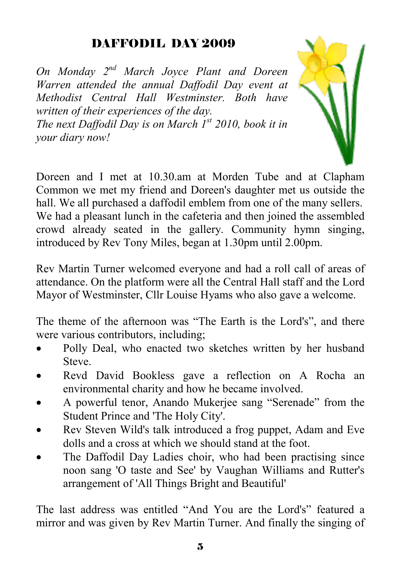## DAFFODIL DAY 2009

*On Monday 2nd March Joyce Plant and Doreen Warren attended the annual Daffodil Day event at Methodist Central Hall Westminster. Both have written of their experiences of the day.* 

*The next Daffodil Day is on March 1st 2010, book it in your diary now!*

Doreen and I met at 10.30.am at Morden Tube and at Clapham Common we met my friend and Doreen's daughter met us outside the hall. We all purchased a daffodil emblem from one of the many sellers. We had a pleasant lunch in the cafeteria and then joined the assembled crowd already seated in the gallery. Community hymn singing, introduced by Rev Tony Miles, began at 1.30pm until 2.00pm.

Rev Martin Turner welcomed everyone and had a roll call of areas of attendance. On the platform were all the Central Hall staff and the Lord Mayor of Westminster, Cllr Louise Hyams who also gave a welcome.

The theme of the afternoon was "The Earth is the Lord's", and there were various contributors, including;

- Polly Deal, who enacted two sketches written by her husband **Steve**
- Revd David Bookless gave a reflection on A Rocha an environmental charity and how he became involved.
- A powerful tenor, Anando Mukerjee sang "Serenade" from the Student Prince and 'The Holy City'.
- Rev Steven Wild's talk introduced a frog puppet, Adam and Eve dolls and a cross at which we should stand at the foot.
- The Daffodil Day Ladies choir, who had been practising since noon sang 'O taste and See' by Vaughan Williams and Rutter's arrangement of 'All Things Bright and Beautiful'

The last address was entitled "And You are the Lord's" featured a mirror and was given by Rev Martin Turner. And finally the singing of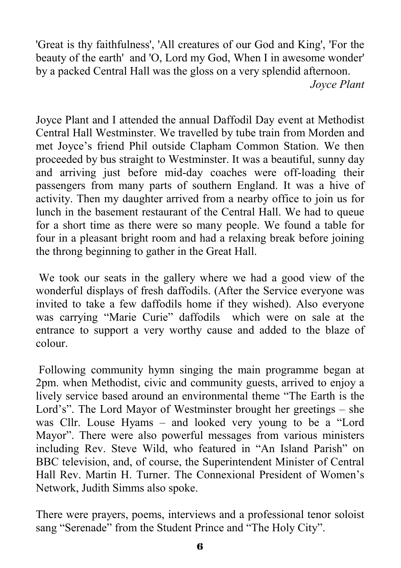'Great is thy faithfulness', 'All creatures of our God and King', 'For the beauty of the earth' and 'O, Lord my God, When I in awesome wonder' by a packed Central Hall was the gloss on a very splendid afternoon. *Joyce Plant* 

Joyce Plant and I attended the annual Daffodil Day event at Methodist Central Hall Westminster. We travelled by tube train from Morden and met Joyce's friend Phil outside Clapham Common Station. We then proceeded by bus straight to Westminster. It was a beautiful, sunny day and arriving just before mid-day coaches were off-loading their passengers from many parts of southern England. It was a hive of activity. Then my daughter arrived from a nearby office to join us for lunch in the basement restaurant of the Central Hall. We had to queue for a short time as there were so many people. We found a table for four in a pleasant bright room and had a relaxing break before joining the throng beginning to gather in the Great Hall.

 We took our seats in the gallery where we had a good view of the wonderful displays of fresh daffodils. (After the Service everyone was invited to take a few daffodils home if they wished). Also everyone was carrying "Marie Curie" daffodils which were on sale at the entrance to support a very worthy cause and added to the blaze of colour.

 Following community hymn singing the main programme began at 2pm. when Methodist, civic and community guests, arrived to enjoy a lively service based around an environmental theme "The Earth is the Lord's". The Lord Mayor of Westminster brought her greetings – she was Cllr. Louse Hyams – and looked very young to be a "Lord Mayor". There were also powerful messages from various ministers including Rev. Steve Wild, who featured in "An Island Parish" on BBC television, and, of course, the Superintendent Minister of Central Hall Rev. Martin H. Turner. The Connexional President of Women's Network, Judith Simms also spoke.

There were prayers, poems, interviews and a professional tenor soloist sang "Serenade" from the Student Prince and "The Holy City".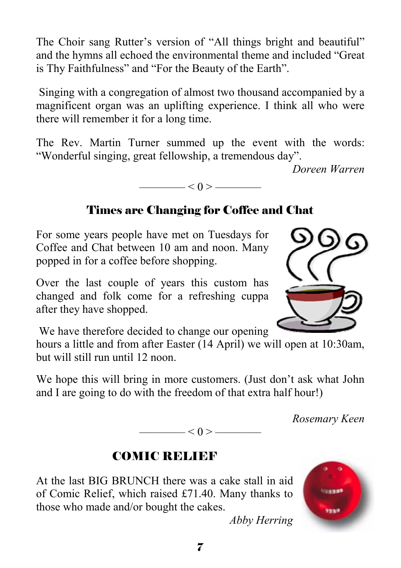The Choir sang Rutter's version of "All things bright and beautiful" and the hymns all echoed the environmental theme and included "Great is Thy Faithfulness" and "For the Beauty of the Earth".

 Singing with a congregation of almost two thousand accompanied by a magnificent organ was an uplifting experience. I think all who were there will remember it for a long time.

The Rev. Martin Turner summed up the event with the words: "Wonderful singing, great fellowship, a tremendous day".

*Doreen Warren* 



#### Times are Changing for Coffee and Chat

For some years people have met on Tuesdays for Coffee and Chat between 10 am and noon. Many popped in for a coffee before shopping.

Over the last couple of years this custom has changed and folk come for a refreshing cuppa after they have shopped.

We have therefore decided to change our opening

hours a little and from after Easter (14 April) we will open at 10:30am, but will still run until 12 noon.

We hope this will bring in more customers. (Just don't ask what John and I are going to do with the freedom of that extra half hour!)

 $< 0 >$  ——

*Rosemary Keen* 

### COMIC RELIEF

At the last BIG BRUNCH there was a cake stall in aid of Comic Relief, which raised £71.40. Many thanks to those who made and/or bought the cakes.



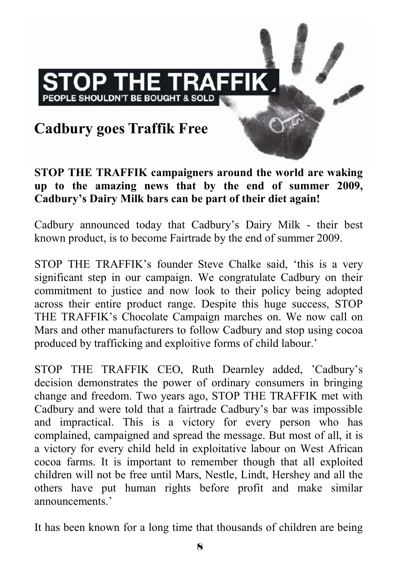# **Cadbury goes Traffik Free**

PEOPLE SHOULDN'T BE BOUGHT & SOLD

**OP THE TRAFFIK** 

**STOP THE TRAFFIK campaigners around the world are waking up to the amazing news that by the end of summer 2009, Cadbury's Dairy Milk bars can be part of their diet again!** 

Cadbury announced today that Cadbury's Dairy Milk - their best known product, is to become Fairtrade by the end of summer 2009.

STOP THE TRAFFIK's founder Steve Chalke said, 'this is a very significant step in our campaign. We congratulate Cadbury on their commitment to justice and now look to their policy being adopted across their entire product range. Despite this huge success, STOP THE TRAFFIK's Chocolate Campaign marches on. We now call on Mars and other manufacturers to follow Cadbury and stop using cocoa produced by trafficking and exploitive forms of child labour.'

STOP THE TRAFFIK CEO, Ruth Dearnley added, 'Cadbury's decision demonstrates the power of ordinary consumers in bringing change and freedom. Two years ago, STOP THE TRAFFIK met with Cadbury and were told that a fairtrade Cadbury's bar was impossible and impractical. This is a victory for every person who has complained, campaigned and spread the message. But most of all, it is a victory for every child held in exploitative labour on West African cocoa farms. It is important to remember though that all exploited children will not be free until Mars, Nestle, Lindt, Hershey and all the others have put human rights before profit and make similar announcements.'

It has been known for a long time that thousands of children are being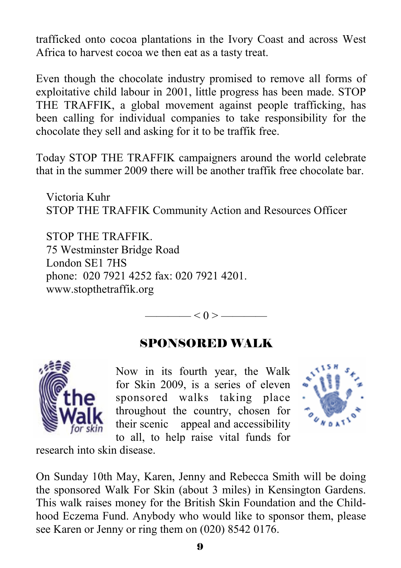trafficked onto cocoa plantations in the Ivory Coast and across West Africa to harvest cocoa we then eat as a tasty treat.

Even though the chocolate industry promised to remove all forms of exploitative child labour in 2001, little progress has been made. STOP THE TRAFFIK, a global movement against people trafficking, has been calling for individual companies to take responsibility for the chocolate they sell and asking for it to be traffik free.

Today STOP THE TRAFFIK campaigners around the world celebrate that in the summer 2009 there will be another traffik free chocolate bar.

Victoria Kuhr STOP THE TRAFFIK Community Action and Resources Officer

STOP THE TRAFFIK. 75 Westminster Bridge Road London SE1 7HS phone: 020 7921 4252 fax: 020 7921 4201. www.stopthetraffik.org

 $\le$  0 >  $-$ 

#### SPONSORED WALK



Now in its fourth year, the Walk for Skin 2009, is a series of eleven sponsored walks taking place throughout the country, chosen for their scenic appeal and accessibility to all, to help raise vital funds for



research into skin disease.

On Sunday 10th May, Karen, Jenny and Rebecca Smith will be doing the sponsored Walk For Skin (about 3 miles) in Kensington Gardens. This walk raises money for the British Skin Foundation and the Childhood Eczema Fund. Anybody who would like to sponsor them, please see Karen or Jenny or ring them on (020) 8542 0176.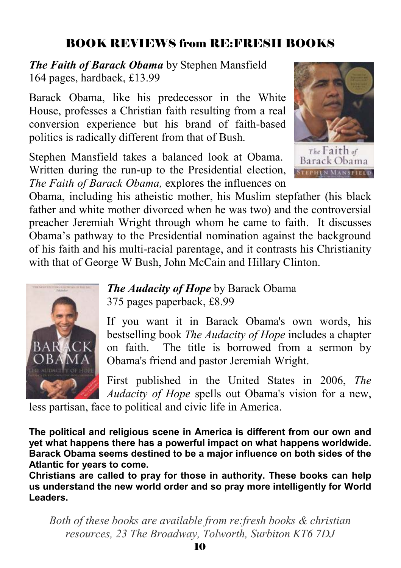# BOOK REVIEWS from RE:FRESH BOOKS

*The Faith of Barack Obama* by Stephen Mansfield 164 pages, hardback, £13.99

Barack Obama, like his predecessor in the White House, professes a Christian faith resulting from a real conversion experience but his brand of faith-based politics is radically different from that of Bush.

Stephen Mansfield takes a balanced look at Obama. Written during the run-up to the Presidential election, *The Faith of Barack Obama,* explores the influences on



PHEN MANSFIELD

Obama, including his atheistic mother, his Muslim stepfather (his black father and white mother divorced when he was two) and the controversial preacher Jeremiah Wright through whom he came to faith. It discusses Obama's pathway to the Presidential nomination against the background of his faith and his multi-racial parentage, and it contrasts his Christianity with that of George W Bush, John McCain and Hillary Clinton.



*The Audacity of Hope* by Barack Obama 375 pages paperback, £8.99

If you want it in Barack Obama's own words, his bestselling book *The Audacity of Hope* includes a chapter on faith. The title is borrowed from a sermon by Obama's friend and pastor Jeremiah Wright.

First published in the United States in 2006, *The Audacity of Hope* spells out Obama's vision for a new,

less partisan, face to political and civic life in America.

**The political and religious scene in America is different from our own and yet what happens there has a powerful impact on what happens worldwide. Barack Obama seems destined to be a major influence on both sides of the Atlantic for years to come.** 

**Christians are called to pray for those in authority. These books can help us understand the new world order and so pray more intelligently for World Leaders.**

*Both of these books are available from re:fresh books & christian resources, 23 The Broadway, Tolworth, Surbiton KT6 7DJ*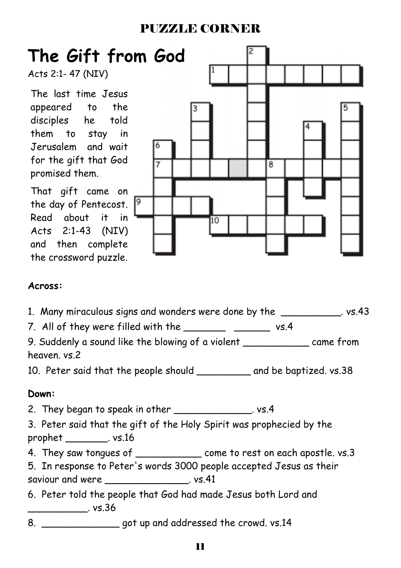### PUZZLE CORNER



#### **Across:**

1. Many miraculous signs and wonders were done by the state states are stated in the state of the state of the

7. All of they were filled with the \_\_\_\_\_\_\_\_\_ \_\_\_\_\_\_\_\_ vs.4

9. Suddenly a sound like the blowing of a violent \_\_\_\_\_\_\_\_\_\_\_ came from heaven. vs.2

10. Peter said that the people should \_\_\_\_\_\_\_\_\_ and be baptized. vs.38

#### **Down:**

2. They began to speak in other \_\_\_\_\_\_\_\_\_\_\_\_\_\_\_. vs.4

3. Peter said that the gift of the Holy Spirit was prophecied by the prophet \_\_\_\_\_\_\_. vs.16

4. They saw tongues of \_\_\_\_\_\_\_\_\_\_\_\_\_\_\_ come to rest on each apostle. vs.3

5. In response to Peter's words 3000 people accepted Jesus as their saviour and were \_\_\_\_\_\_\_\_\_\_\_\_\_\_. vs.41

6. Peter told the people that God had made Jesus both Lord and  $\sim$  vs.36

8. \_\_\_\_\_\_\_\_\_\_\_\_\_ got up and addressed the crowd. vs.14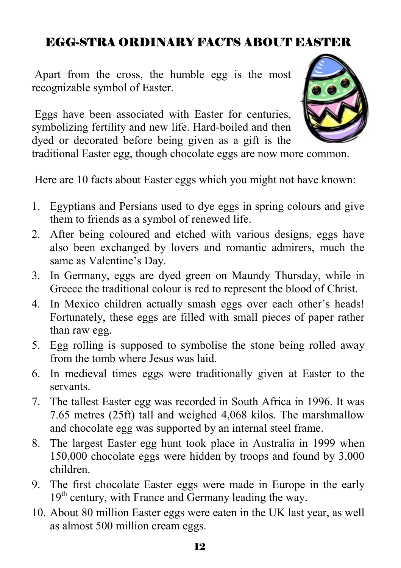## EGG-STRA ORDINARY FACTS ABOUT EASTER

 Apart from the cross, the humble egg is the most recognizable symbol of Easter.

 Eggs have been associated with Easter for centuries, symbolizing fertility and new life. Hard-boiled and then dyed or decorated before being given as a gift is the



traditional Easter egg, though chocolate eggs are now more common.

Here are 10 facts about Easter eggs which you might not have known:

- 1. Egyptians and Persians used to dye eggs in spring colours and give them to friends as a symbol of renewed life.
- 2. After being coloured and etched with various designs, eggs have also been exchanged by lovers and romantic admirers, much the same as Valentine's Day.
- 3. In Germany, eggs are dyed green on Maundy Thursday, while in Greece the traditional colour is red to represent the blood of Christ.
- 4. In Mexico children actually smash eggs over each other's heads! Fortunately, these eggs are filled with small pieces of paper rather than raw egg.
- 5. Egg rolling is supposed to symbolise the stone being rolled away from the tomb where Jesus was laid.
- 6. In medieval times eggs were traditionally given at Easter to the servants.
- 7. The tallest Easter egg was recorded in South Africa in 1996. It was 7.65 metres (25ft) tall and weighed 4,068 kilos. The marshmallow and chocolate egg was supported by an internal steel frame.
- 8. The largest Easter egg hunt took place in Australia in 1999 when 150,000 chocolate eggs were hidden by troops and found by 3,000 children.
- 9. The first chocolate Easter eggs were made in Europe in the early  $19<sup>th</sup>$  century, with France and Germany leading the way.
- 10. About 80 million Easter eggs were eaten in the UK last year, as well as almost 500 million cream eggs.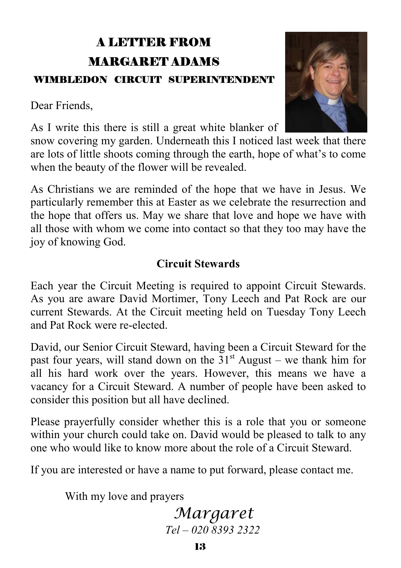# A LETTER FROM MARGARET ADAMS WIMBLEDON CIRCUIT SUPERINTENDENT

Dear Friends,



As I write this there is still a great white blanker of

snow covering my garden. Underneath this I noticed last week that there are lots of little shoots coming through the earth, hope of what's to come when the beauty of the flower will be revealed.

As Christians we are reminded of the hope that we have in Jesus. We particularly remember this at Easter as we celebrate the resurrection and the hope that offers us. May we share that love and hope we have with all those with whom we come into contact so that they too may have the joy of knowing God.

#### **Circuit Stewards**

Each year the Circuit Meeting is required to appoint Circuit Stewards. As you are aware David Mortimer, Tony Leech and Pat Rock are our current Stewards. At the Circuit meeting held on Tuesday Tony Leech and Pat Rock were re-elected.

David, our Senior Circuit Steward, having been a Circuit Steward for the past four years, will stand down on the  $31<sup>st</sup>$  August – we thank him for all his hard work over the years. However, this means we have a vacancy for a Circuit Steward. A number of people have been asked to consider this position but all have declined.

Please prayerfully consider whether this is a role that you or someone within your church could take on. David would be pleased to talk to any one who would like to know more about the role of a Circuit Steward.

If you are interested or have a name to put forward, please contact me.

With my love and prayers

## *Margaret Tel – 020 8393 2322*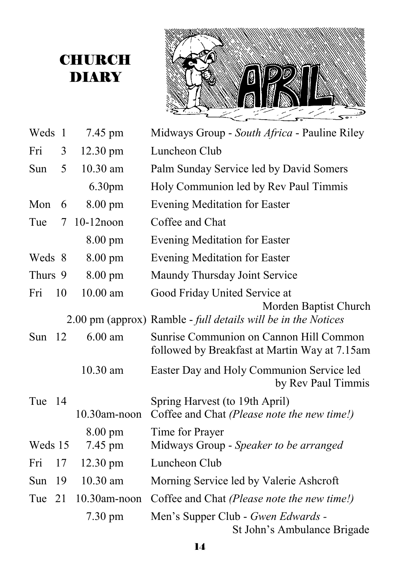# **CHURCH** DIARY



| Weds     | $\overline{1}$ | 7.45 pm            | Midways Group - South Africa - Pauline Riley                                             |
|----------|----------------|--------------------|------------------------------------------------------------------------------------------|
| Fri      | 3              | 12.30 pm           | Luncheon Club                                                                            |
| Sun      | 5              | 10.30 am           | Palm Sunday Service led by David Somers                                                  |
|          |                | 6.30pm             | Holy Communion led by Rev Paul Timmis                                                    |
| Mon      | 6              | $8.00 \text{ pm}$  | <b>Evening Meditation for Easter</b>                                                     |
| Tue      | 7              | 10-12noon          | Coffee and Chat                                                                          |
|          |                | 8.00 pm            | <b>Evening Meditation for Easter</b>                                                     |
| Weds 8   |                | 8.00 pm            | Evening Meditation for Easter                                                            |
| Thurs 9  |                | $8.00 \text{ pm}$  | Maundy Thursday Joint Service                                                            |
| Fri      | 10             | 10.00 am           | Good Friday United Service at                                                            |
|          |                |                    | Morden Baptist Church<br>2.00 pm (approx) Ramble - full details will be in the Notices   |
| Sun $12$ |                | $6.00$ am          | Sunrise Communion on Cannon Hill Common<br>followed by Breakfast at Martin Way at 7.15am |
|          |                | 10.30 am           | Easter Day and Holy Communion Service led<br>by Rev Paul Timmis                          |
| Tue      | -14            |                    | Spring Harvest (to 19th April)                                                           |
|          |                | 10.30am-noon       | Coffee and Chat (Please note the new time!)                                              |
| Weds 15  |                | 8.00 pm<br>7.45 pm | Time for Prayer<br>Midways Group - Speaker to be arranged                                |
| Fri      | 17             | 12.30 pm           | Luncheon Club                                                                            |
| Sun      | 19             | 10.30 am           | Morning Service led by Valerie Ashcroft                                                  |
| Tue 21   |                | 10.30am-noon       | Coffee and Chat (Please note the new time!)                                              |
|          |                | 7.30 pm            | Men's Supper Club - Gwen Edwards -<br>St John's Ambulance Brigade                        |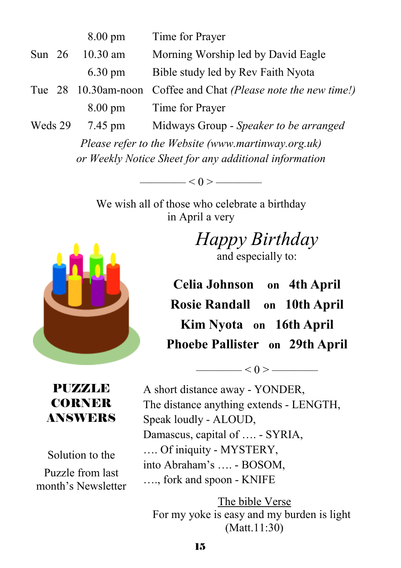|          | $8.00 \text{ pm}$ | Time for Prayer                                                 |
|----------|-------------------|-----------------------------------------------------------------|
| Sun $26$ | $10.30$ am        | Morning Worship led by David Eagle                              |
|          | $6.30 \text{ pm}$ | Bible study led by Rev Faith Nyota                              |
|          |                   | Tue 28 10.30am-noon Coffee and Chat (Please note the new time!) |
|          | $8.00 \text{ pm}$ | Time for Prayer                                                 |
| Weds 29  | 7.45 pm           | Midways Group - Speaker to be arranged                          |

*Please refer to the Website (www.martinway.org.uk) or Weekly Notice Sheet for any additional information* 

 $< 0 >$  ——————

We wish all of those who celebrate a birthday in April a very



*Happy Birthday*  and especially to:

**Celia Johnson on 4th April Rosie Randall on 10th April Kim Nyota on 16th April Phoebe Pallister on 29th April**

 $< 0 >$  ——————

#### PUZZLE CORNER ANSWERS

Solution to the Puzzle from last month's Newsletter  A short distance away - YONDER, The distance anything extends - LENGTH, Speak loudly - ALOUD, Damascus, capital of …. - SYRIA, …. Of iniquity - MYSTERY, into Abraham's …. - BOSOM, …., fork and spoon - KNIFE

The bible Verse For my yoke is easy and my burden is light (Matt.11:30)